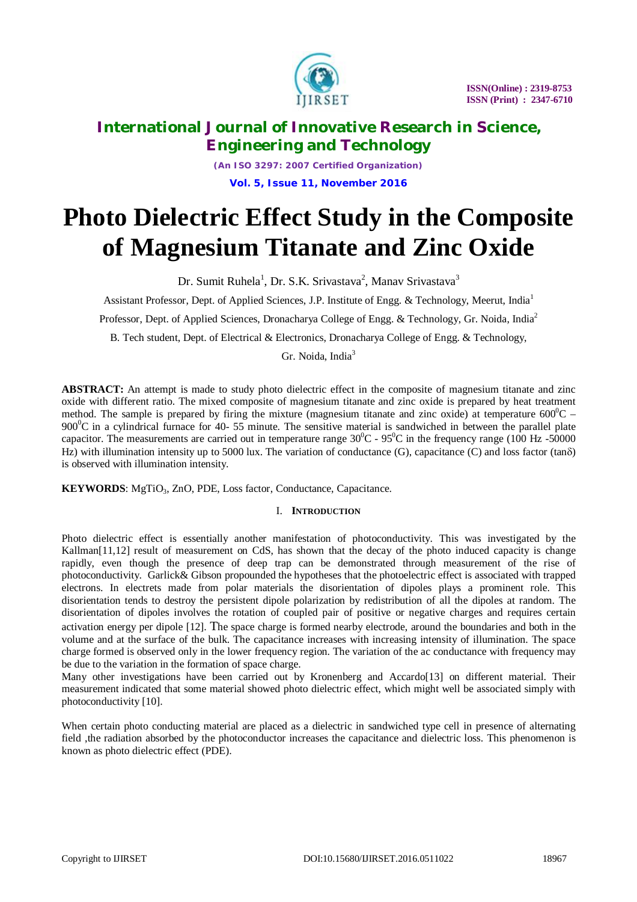

*(An ISO 3297: 2007 Certified Organization)* **Vol. 5, Issue 11, November 2016**

# **Photo Dielectric Effect Study in the Composite of Magnesium Titanate and Zinc Oxide**

Dr. Sumit Ruhela<sup>1</sup>, Dr. S.K. Srivastava<sup>2</sup>, Manav Srivastava<sup>3</sup>

Assistant Professor, Dept. of Applied Sciences, J.P. Institute of Engg. & Technology, Meerut, India<sup>1</sup>

Professor, Dept. of Applied Sciences, Dronacharya College of Engg. & Technology, Gr. Noida, India<sup>2</sup>

B. Tech student, Dept. of Electrical & Electronics, Dronacharya College of Engg. & Technology,

Gr. Noida, India<sup>3</sup>

**ABSTRACT:** An attempt is made to study photo dielectric effect in the composite of magnesium titanate and zinc oxide with different ratio. The mixed composite of magnesium titanate and zinc oxide is prepared by heat treatment method. The sample is prepared by firing the mixture (magnesium titanate and zinc oxide) at temperature  $600^{\circ}$ C – 900<sup>o</sup>C in a cylindrical furnace for 40- 55 minute. The sensitive material is sandwiched in between the parallel plate capacitor. The measurements are carried out in temperature range  $30^0C - 95^0C$  in the frequency range (100 Hz -50000 Hz) with illumination intensity up to 5000 lux. The variation of conductance (G), capacitance (C) and loss factor (tan $\delta$ ) is observed with illumination intensity.

**KEYWORDS**: MgTiO<sub>3</sub>, ZnO, PDE, Loss factor, Conductance, Capacitance.

# I. **INTRODUCTION**

Photo dielectric effect is essentially another manifestation of photoconductivity. This was investigated by the Kallman<sup>[11,12]</sup> result of measurement on CdS, has shown that the decay of the photo induced capacity is change rapidly, even though the presence of deep trap can be demonstrated through measurement of the rise of photoconductivity. Garlick& Gibson propounded the hypotheses that the photoelectric effect is associated with trapped electrons. In electrets made from polar materials the disorientation of dipoles plays a prominent role. This disorientation tends to destroy the persistent dipole polarization by redistribution of all the dipoles at random. The disorientation of dipoles involves the rotation of coupled pair of positive or negative charges and requires certain activation energy per dipole [12]. The space charge is formed nearby electrode, around the boundaries and both in the volume and at the surface of the bulk. The capacitance increases with increasing intensity of illumination. The space charge formed is observed only in the lower frequency region. The variation of the ac conductance with frequency may be due to the variation in the formation of space charge.

Many other investigations have been carried out by Kronenberg and Accardo[13] on different material. Their measurement indicated that some material showed photo dielectric effect, which might well be associated simply with photoconductivity [10].

When certain photo conducting material are placed as a dielectric in sandwiched type cell in presence of alternating field , the radiation absorbed by the photoconductor increases the capacitance and dielectric loss. This phenomenon is known as photo dielectric effect (PDE).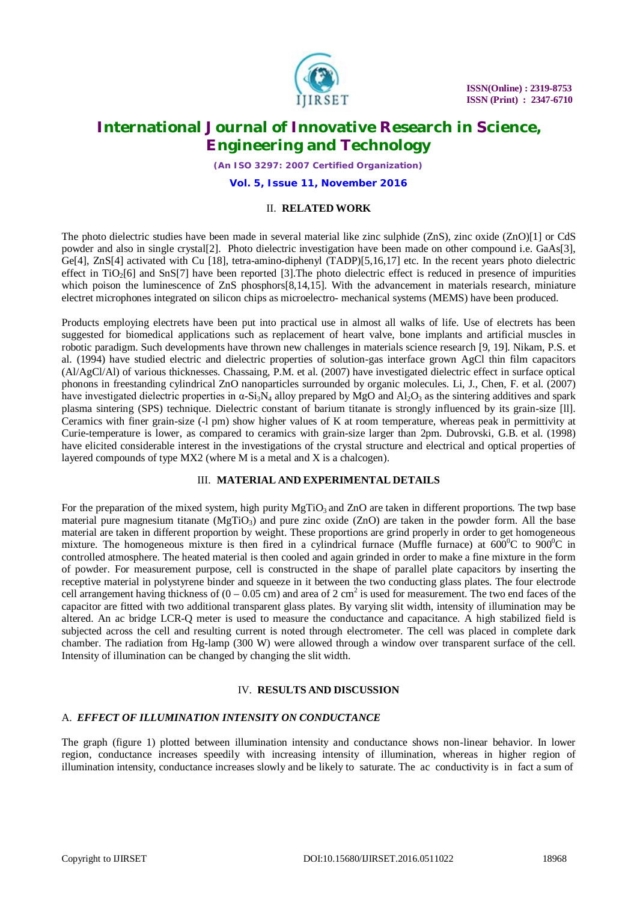

*(An ISO 3297: 2007 Certified Organization)*

**Vol. 5, Issue 11, November 2016**

# II. **RELATED WORK**

The photo dielectric studies have been made in several material like zinc sulphide (ZnS), zinc oxide (ZnO)[1] or CdS powder and also in single crystal[2]. Photo dielectric investigation have been made on other compound i.e. GaAs[3], Ge[4], ZnS[4] activated with Cu [18], tetra-amino-diphenyl (TADP)[5,16,17] etc. In the recent years photo dielectric effect in  $TiO<sub>2</sub>[6]$  and  $SnS[7]$  have been reported [3]. The photo dielectric effect is reduced in presence of impurities which poison the luminescence of ZnS phosphors[8,14,15]. With the advancement in materials research, miniature electret microphones integrated on silicon chips as microelectro- mechanical systems (MEMS) have been produced.

Products employing electrets have been put into practical use in almost all walks of life. Use of electrets has been suggested for biomedical applications such as replacement of heart valve, bone implants and artificial muscles in robotic paradigm. Such developments have thrown new challenges in materials science research [9, 19]. Nikam, P.S. et al. (1994) have studied electric and dielectric properties of solution-gas interface grown AgCl thin film capacitors (Al/AgCl/Al) of various thicknesses. Chassaing, P.M. et al. (2007) have investigated dielectric effect in surface optical phonons in freestanding cylindrical ZnO nanoparticles surrounded by organic molecules. Li, J., Chen, F. et al. (2007) have investigated dielectric properties in  $\alpha$ -Si<sub>3</sub>N<sub>4</sub> alloy prepared by MgO and Al<sub>2</sub>O<sub>3</sub> as the sintering additives and spark plasma sintering (SPS) technique. Dielectric constant of barium titanate is strongly influenced by its grain-size [ll]. Ceramics with finer grain-size (-l pm) show higher values of K at room temperature, whereas peak in permittivity at Curie-temperature is lower, as compared to ceramics with grain-size larger than 2pm. Dubrovski, G.B. et al. (1998) have elicited considerable interest in the investigations of the crystal structure and electrical and optical properties of layered compounds of type MX2 (where M is a metal and X is a chalcogen).

# III. **MATERIAL AND EXPERIMENTAL DETAILS**

For the preparation of the mixed system, high purity MgTiO<sub>3</sub> and ZnO are taken in different proportions. The twp base material pure magnesium titanate ( $MgTiO<sub>3</sub>$ ) and pure zinc oxide (ZnO) are taken in the powder form. All the base material are taken in different proportion by weight. These proportions are grind properly in order to get homogeneous mixture. The homogeneous mixture is then fired in a cylindrical furnace (Muffle furnace) at  $600^{\circ}$ C to  $900^{\circ}$ C in controlled atmosphere. The heated material is then cooled and again grinded in order to make a fine mixture in the form of powder. For measurement purpose, cell is constructed in the shape of parallel plate capacitors by inserting the receptive material in polystyrene binder and squeeze in it between the two conducting glass plates. The four electrode cell arrangement having thickness of  $(0 - 0.05)$  cm) and area of 2 cm<sup>2</sup> is used for measurement. The two end faces of the capacitor are fitted with two additional transparent glass plates. By varying slit width, intensity of illumination may be altered. An ac bridge LCR-Q meter is used to measure the conductance and capacitance. A high stabilized field is subjected across the cell and resulting current is noted through electrometer. The cell was placed in complete dark chamber. The radiation from Hg-lamp (300 W) were allowed through a window over transparent surface of the cell. Intensity of illumination can be changed by changing the slit width.

# IV. **RESULTS AND DISCUSSION**

# A. *EFFECT OF ILLUMINATION INTENSITY ON CONDUCTANCE*

The graph (figure 1) plotted between illumination intensity and conductance shows non-linear behavior. In lower region, conductance increases speedily with increasing intensity of illumination, whereas in higher region of illumination intensity, conductance increases slowly and be likely to saturate. The ac conductivity is in fact a sum of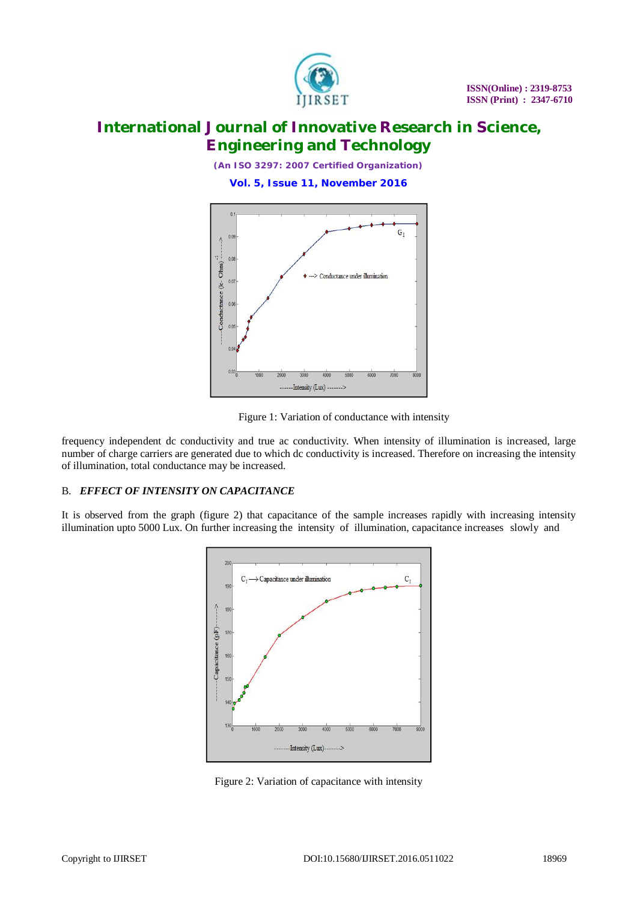

*(An ISO 3297: 2007 Certified Organization)*

**Vol. 5, Issue 11, November 2016**



Figure 1: Variation of conductance with intensity

frequency independent dc conductivity and true ac conductivity. When intensity of illumination is increased, large number of charge carriers are generated due to which dc conductivity is increased. Therefore on increasing the intensity of illumination, total conductance may be increased.

# B. *EFFECT OF INTENSITY ON CAPACITANCE*

It is observed from the graph (figure 2) that capacitance of the sample increases rapidly with increasing intensity illumination upto 5000 Lux. On further increasing the intensity of illumination, capacitance increases slowly and



Figure 2: Variation of capacitance with intensity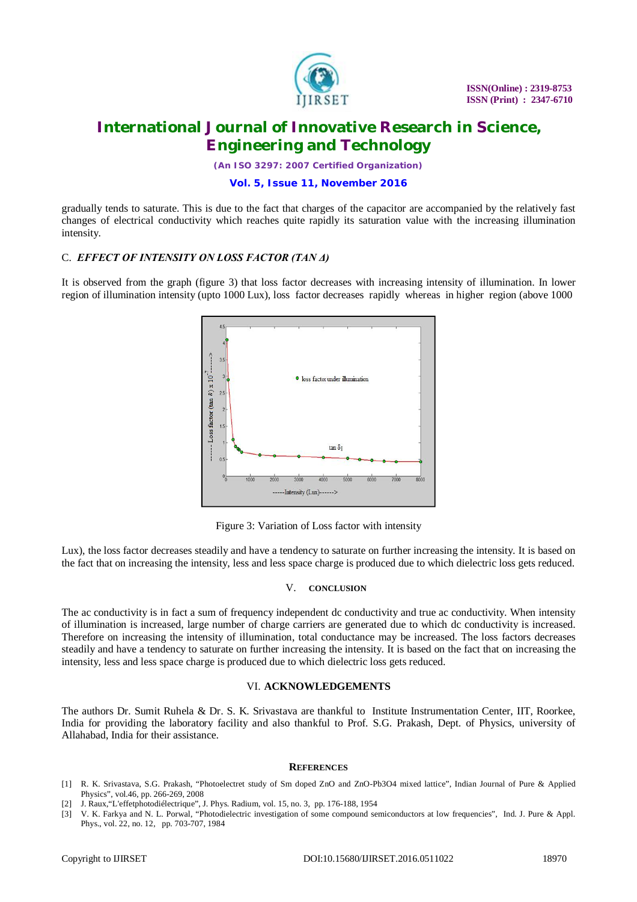

*(An ISO 3297: 2007 Certified Organization)*

## **Vol. 5, Issue 11, November 2016**

gradually tends to saturate. This is due to the fact that charges of the capacitor are accompanied by the relatively fast changes of electrical conductivity which reaches quite rapidly its saturation value with the increasing illumination intensity.

# C. *EFFECT OF INTENSITY ON LOSS FACTOR (TAN Δ)*

It is observed from the graph (figure 3) that loss factor decreases with increasing intensity of illumination. In lower region of illumination intensity (upto 1000 Lux), loss factor decreases rapidly whereas in higher region (above 1000



Figure 3: Variation of Loss factor with intensity

Lux), the loss factor decreases steadily and have a tendency to saturate on further increasing the intensity. It is based on the fact that on increasing the intensity, less and less space charge is produced due to which dielectric loss gets reduced.

## V. **CONCLUSION**

The ac conductivity is in fact a sum of frequency independent dc conductivity and true ac conductivity. When intensity of illumination is increased, large number of charge carriers are generated due to which dc conductivity is increased. Therefore on increasing the intensity of illumination, total conductance may be increased. The loss factors decreases steadily and have a tendency to saturate on further increasing the intensity. It is based on the fact that on increasing the intensity, less and less space charge is produced due to which dielectric loss gets reduced.

## VI. **ACKNOWLEDGEMENTS**

The authors Dr. Sumit Ruhela & Dr. S. K. Srivastava are thankful to Institute Instrumentation Center, IIT, Roorkee, India for providing the laboratory facility and also thankful to Prof. S.G. Prakash, Dept. of Physics, university of Allahabad, India for their assistance.

#### **REFERENCES**

- [1] R. K. Srivastava, S.G. Prakash, "Photoelectret study of Sm doped ZnO and ZnO-Pb3O4 mixed lattice", Indian Journal of Pure & Applied Physics", vol.46, pp. 266-269, 2008
- [2] J. Raux,"L'effetphotodiélectrique", J. Phys. Radium, vol. 15, no. 3, pp. 176-188, 1954
- [3] V. K. Farkya and N. L. Porwal, "Photodielectric investigation of some compound semiconductors at low frequencies", Ind. J. Pure & Appl. Phys., vol. 22, no. 12, pp. 703-707, 1984